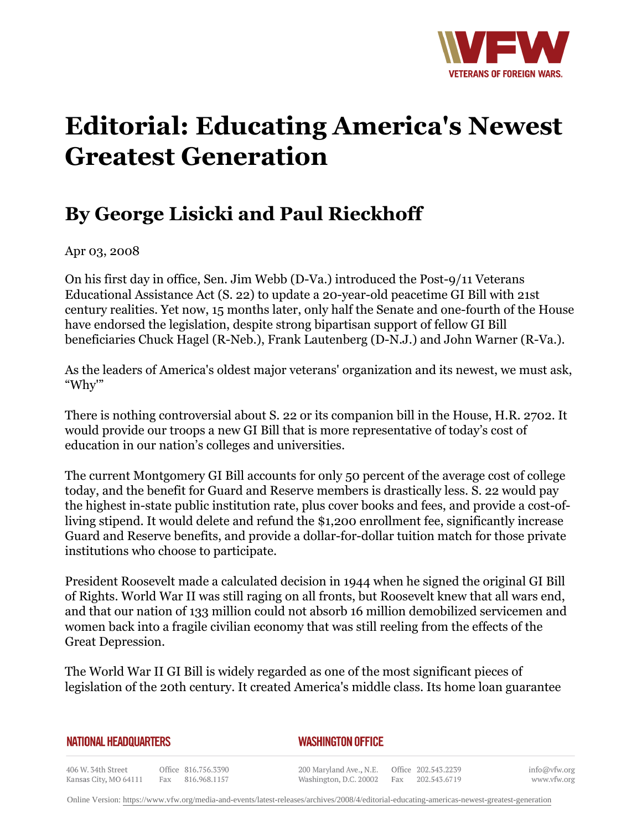

## **Editorial: Educating America's Newest Greatest Generation**

## **By George Lisicki and Paul Rieckhoff**

Apr 03, 2008

On his first day in office, Sen. Jim Webb (D-Va.) introduced the Post-9/11 Veterans Educational Assistance Act (S. 22) to update a 20-year-old peacetime GI Bill with 21st century realities. Yet now, 15 months later, only half the Senate and one-fourth of the House have endorsed the legislation, despite strong bipartisan support of fellow GI Bill beneficiaries Chuck Hagel (R-Neb.), Frank Lautenberg (D-N.J.) and John Warner (R-Va.).

As the leaders of America's oldest major veterans' organization and its newest, we must ask, "Why'"

There is nothing controversial about S. 22 or its companion bill in the House, H.R. 2702. It would provide our troops a new GI Bill that is more representative of today's cost of education in our nation's colleges and universities.

The current Montgomery GI Bill accounts for only 50 percent of the average cost of college today, and the benefit for Guard and Reserve members is drastically less. S. 22 would pay the highest in-state public institution rate, plus cover books and fees, and provide a cost-ofliving stipend. It would delete and refund the \$1,200 enrollment fee, significantly increase Guard and Reserve benefits, and provide a dollar-for-dollar tuition match for those private institutions who choose to participate.

President Roosevelt made a calculated decision in 1944 when he signed the original GI Bill of Rights. World War II was still raging on all fronts, but Roosevelt knew that all wars end, and that our nation of 133 million could not absorb 16 million demobilized servicemen and women back into a fragile civilian economy that was still reeling from the effects of the Great Depression.

The World War II GI Bill is widely regarded as one of the most significant pieces of legislation of the 20th century. It created America's middle class. Its home loan guarantee

## **NATIONAL HEADQUARTERS**

*WASHINGTON OFFICE* 

406 W. 34th Street Office 816.756.3390 Kansas City, MO 64111 Fax 816.968.1157

200 Maryland Ave., N.E. Washington, D.C. 20002

Office 202.543.2239 Fax 202.543.6719

info@vfw.org www.vfw.org

Online Version:<https://www.vfw.org/media-and-events/latest-releases/archives/2008/4/editorial-educating-americas-newest-greatest-generation>